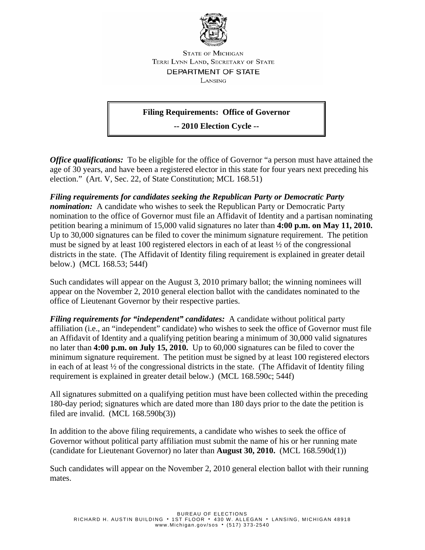

**STATE OF MICHIGAN** TERRI LYNN LAND, SECRETARY OF STATE DEPARTMENT OF STATE LANSING

## **Filing Requirements: Office of Governor**

**-- 2010 Election Cycle --** 

*Office qualifications:* To be eligible for the office of Governor "a person must have attained the age of 30 years, and have been a registered elector in this state for four years next preceding his election." (Art. V, Sec. 22, of State Constitution; MCL 168.51)

*Filing requirements for candidates seeking the Republican Party or Democratic Party nomination:* A candidate who wishes to seek the Republican Party or Democratic Party nomination to the office of Governor must file an Affidavit of Identity and a partisan nominating petition bearing a minimum of 15,000 valid signatures no later than **4:00 p.m. on May 11, 2010.** Up to 30,000 signatures can be filed to cover the minimum signature requirement. The petition must be signed by at least 100 registered electors in each of at least  $\frac{1}{2}$  of the congressional districts in the state. (The Affidavit of Identity filing requirement is explained in greater detail below.) (MCL 168.53; 544f)

Such candidates will appear on the August 3, 2010 primary ballot; the winning nominees will appear on the November 2, 2010 general election ballot with the candidates nominated to the office of Lieutenant Governor by their respective parties.

*Filing requirements for "independent" candidates:* A candidate without political party affiliation (i.e., an "independent" candidate) who wishes to seek the office of Governor must file an Affidavit of Identity and a qualifying petition bearing a minimum of 30,000 valid signatures no later than **4:00 p.m. on July 15, 2010.** Up to 60,000 signatures can be filed to cover the minimum signature requirement. The petition must be signed by at least 100 registered electors in each of at least ½ of the congressional districts in the state. (The Affidavit of Identity filing requirement is explained in greater detail below.) (MCL 168.590c; 544f)

All signatures submitted on a qualifying petition must have been collected within the preceding 180-day period; signatures which are dated more than 180 days prior to the date the petition is filed are invalid. (MCL 168.590b(3))

In addition to the above filing requirements, a candidate who wishes to seek the office of Governor without political party affiliation must submit the name of his or her running mate (candidate for Lieutenant Governor) no later than **August 30, 2010.** (MCL 168.590d(1))

Such candidates will appear on the November 2, 2010 general election ballot with their running mates.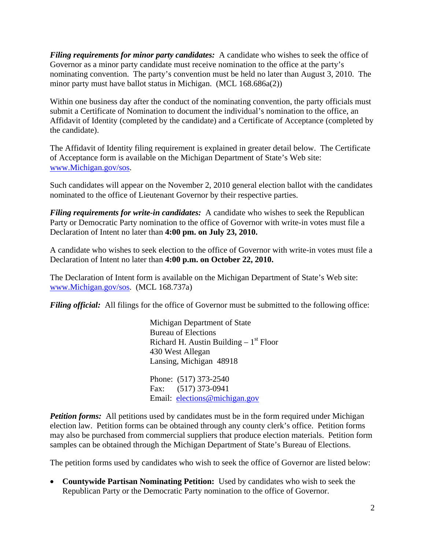*Filing requirements for minor party candidates:* A candidate who wishes to seek the office of Governor as a minor party candidate must receive nomination to the office at the party's nominating convention. The party's convention must be held no later than August 3, 2010. The minor party must have ballot status in Michigan. (MCL 168.686a(2))

Within one business day after the conduct of the nominating convention, the party officials must submit a Certificate of Nomination to document the individual's nomination to the office, an Affidavit of Identity (completed by the candidate) and a Certificate of Acceptance (completed by the candidate).

The Affidavit of Identity filing requirement is explained in greater detail below. The Certificate of Acceptance form is available on the Michigan Department of State's Web site: [www.Michigan.gov/sos.](http://www.michigan.gov/sos)

Such candidates will appear on the November 2, 2010 general election ballot with the candidates nominated to the office of Lieutenant Governor by their respective parties.

*Filing requirements for write-in candidates:* A candidate who wishes to seek the Republican Party or Democratic Party nomination to the office of Governor with write-in votes must file a Declaration of Intent no later than **4:00 pm. on July 23, 2010.**

A candidate who wishes to seek election to the office of Governor with write-in votes must file a Declaration of Intent no later than **4:00 p.m. on October 22, 2010.**

The Declaration of Intent form is available on the Michigan Department of State's Web site: [www.Michigan.gov/sos.](http://www.michigan.gov/sos) (MCL 168.737a)

*Filing official:* All filings for the office of Governor must be submitted to the following office:

Michigan Department of State Bureau of Elections Richard H. Austin Building  $-1<sup>st</sup>$  Floor 430 West Allegan Lansing, Michigan 48918 Phone: (517) 373-2540 Fax: (517) 373-0941 Email: [elections@michigan.gov](mailto:elections@michigan.gov)

*Petition forms:* All petitions used by candidates must be in the form required under Michigan election law. Petition forms can be obtained through any county clerk's office. Petition forms may also be purchased from commercial suppliers that produce election materials. Petition form samples can be obtained through the Michigan Department of State's Bureau of Elections.

The petition forms used by candidates who wish to seek the office of Governor are listed below:

• **Countywide Partisan Nominating Petition:** Used by candidates who wish to seek the Republican Party or the Democratic Party nomination to the office of Governor.